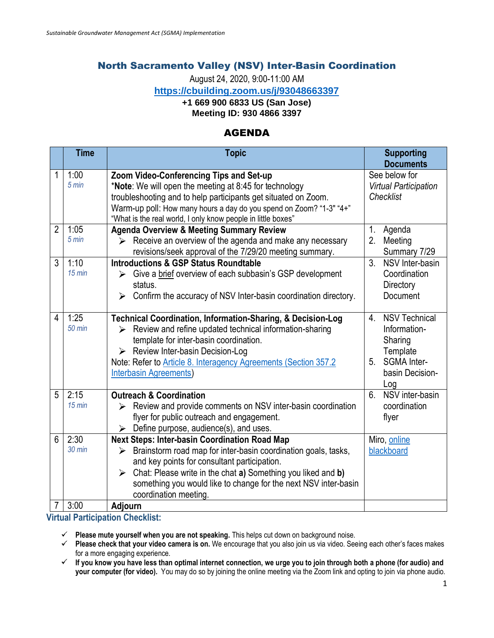## North Sacramento Valley (NSV) Inter-Basin Coordination

August 24, 2020, 9:00-11:00 AM

**<https://cbuilding.zoom.us/j/93048663397>**

**+1 669 900 6833 US (San Jose)**

**Meeting ID: 930 4866 3397**

## AGENDA

|                     | <b>Time</b>              | <b>Topic</b>                                                                                                                                                                                                                                                                                                                                     | <b>Supporting</b><br><b>Documents</b>                                                                            |
|---------------------|--------------------------|--------------------------------------------------------------------------------------------------------------------------------------------------------------------------------------------------------------------------------------------------------------------------------------------------------------------------------------------------|------------------------------------------------------------------------------------------------------------------|
| 1                   | 1:00<br>$5 \text{ min}$  | Zoom Video-Conferencing Tips and Set-up<br>*Note: We will open the meeting at 8:45 for technology<br>troubleshooting and to help participants get situated on Zoom.<br>Warm-up poll: How many hours a day do you spend on Zoom? "1-3" "4+"<br>"What is the real world, I only know people in little boxes"                                       | See below for<br><b>Virtual Participation</b><br>Checklist                                                       |
| $\overline{2}$      | 1:05<br>$5 \text{ min}$  | <b>Agenda Overview &amp; Meeting Summary Review</b><br>Receive an overview of the agenda and make any necessary<br>≻<br>revisions/seek approval of the 7/29/20 meeting summary.                                                                                                                                                                  | 1.<br>Agenda<br>2.<br>Meeting<br>Summary 7/29                                                                    |
| 3                   | 1:10<br>$15$ min         | <b>Introductions &amp; GSP Status Roundtable</b><br>Give a brief overview of each subbasin's GSP development<br>≻<br>status.<br>Confirm the accuracy of NSV Inter-basin coordination directory.<br>➤                                                                                                                                             | 3 <sub>1</sub><br>NSV Inter-basin<br>Coordination<br>Directory<br>Document                                       |
| $\overline{4}$      | 1:25<br><b>50 min</b>    | <b>Technical Coordination, Information-Sharing, &amp; Decision-Log</b><br>Review and refine updated technical information-sharing<br>⋗<br>template for inter-basin coordination.<br>> Review Inter-basin Decision-Log<br>Note: Refer to Article 8. Interagency Agreements (Section 357.2<br><b>Interbasin Agreements</b>                         | <b>NSV Technical</b><br>4.<br>Information-<br>Sharing<br>Template<br>SGMA Inter-<br>5.<br>basin Decision-<br>Log |
| 5                   | 2:15<br>$15$ min         | <b>Outreach &amp; Coordination</b><br>Review and provide comments on NSV inter-basin coordination<br>➤<br>flyer for public outreach and engagement.<br>Define purpose, audience(s), and uses.<br>≻                                                                                                                                               | NSV inter-basin<br>6.<br>coordination<br>flyer                                                                   |
| 6<br>$\overline{7}$ | 2:30<br>$30$ min<br>3:00 | Next Steps: Inter-basin Coordination Road Map<br>Brainstorm road map for inter-basin coordination goals, tasks,<br>≻<br>and key points for consultant participation.<br>Chat: Please write in the chat a) Something you liked and b)<br>➤<br>something you would like to change for the next NSV inter-basin<br>coordination meeting.<br>Adjourn | Miro, online<br>blackboard                                                                                       |

**Virtual Participation Checklist:**

**Please mute yourself when you are not speaking.** This helps cut down on background noise.

**Please check that your video camera is on.** We encourage that you also join us via video. Seeing each other's faces makes for a more engaging experience.

**If you know you have less than optimal internet connection, we urge you to join through both a phone (for audio) and your computer (for video).** You may do so by joining the online meeting via the Zoom link and opting to join via phone audio.